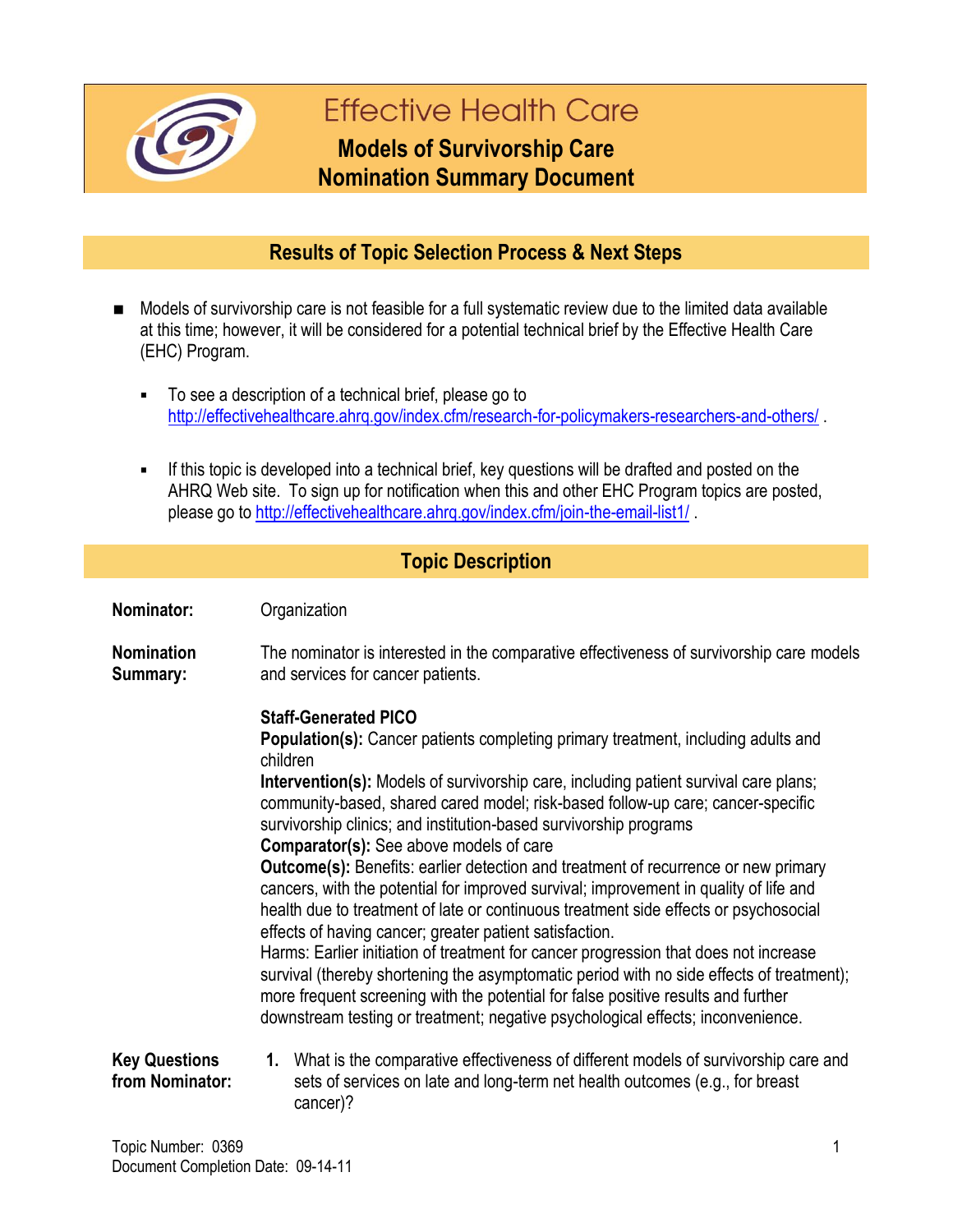

# **Effective Health Care**

## **Models of Survivorship Care Nomination Summary Document**

### **Results of Topic Selection Process & Next Steps**

- Models of survivorship care is not feasible for a full systematic review due to the limited data available at this time; however, it will be considered for a potential technical brief by the Effective Health Care (EHC) Program.
	- To see a description of a technical brief, please go to <http://effectivehealthcare.ahrq.gov/index.cfm/research-for-policymakers-researchers-and-others/>.
	- If this topic is developed into a technical brief, key questions will be drafted and posted on the AHRQ Web site. To sign up for notification when this and other EHC Program topics are posted, please go to<http://effectivehealthcare.ahrq.gov/index.cfm/join-the-email-list1/>.

#### **Topic Description**

| Nominator:                              | Organization                                                                                                                                                                                                                                                                                                                                                                                                                                                                                                                                                                                                                                                                                                                                                                                                                                                                                                                                                                                                                                                                                                                                      |
|-----------------------------------------|---------------------------------------------------------------------------------------------------------------------------------------------------------------------------------------------------------------------------------------------------------------------------------------------------------------------------------------------------------------------------------------------------------------------------------------------------------------------------------------------------------------------------------------------------------------------------------------------------------------------------------------------------------------------------------------------------------------------------------------------------------------------------------------------------------------------------------------------------------------------------------------------------------------------------------------------------------------------------------------------------------------------------------------------------------------------------------------------------------------------------------------------------|
| <b>Nomination</b><br>Summary:           | The nominator is interested in the comparative effectiveness of survivorship care models<br>and services for cancer patients.                                                                                                                                                                                                                                                                                                                                                                                                                                                                                                                                                                                                                                                                                                                                                                                                                                                                                                                                                                                                                     |
|                                         | <b>Staff-Generated PICO</b><br><b>Population(s):</b> Cancer patients completing primary treatment, including adults and<br>children<br><b>Intervention(s):</b> Models of survivorship care, including patient survival care plans;<br>community-based, shared cared model; risk-based follow-up care; cancer-specific<br>survivorship clinics; and institution-based survivorship programs<br><b>Comparator(s):</b> See above models of care<br><b>Outcome(s):</b> Benefits: earlier detection and treatment of recurrence or new primary<br>cancers, with the potential for improved survival; improvement in quality of life and<br>health due to treatment of late or continuous treatment side effects or psychosocial<br>effects of having cancer; greater patient satisfaction.<br>Harms: Earlier initiation of treatment for cancer progression that does not increase<br>survival (thereby shortening the asymptomatic period with no side effects of treatment);<br>more frequent screening with the potential for false positive results and further<br>downstream testing or treatment; negative psychological effects; inconvenience. |
| <b>Key Questions</b><br>from Nominator: | 1. What is the comparative effectiveness of different models of survivorship care and<br>sets of services on late and long-term net health outcomes (e.g., for breast<br>cancer)?                                                                                                                                                                                                                                                                                                                                                                                                                                                                                                                                                                                                                                                                                                                                                                                                                                                                                                                                                                 |